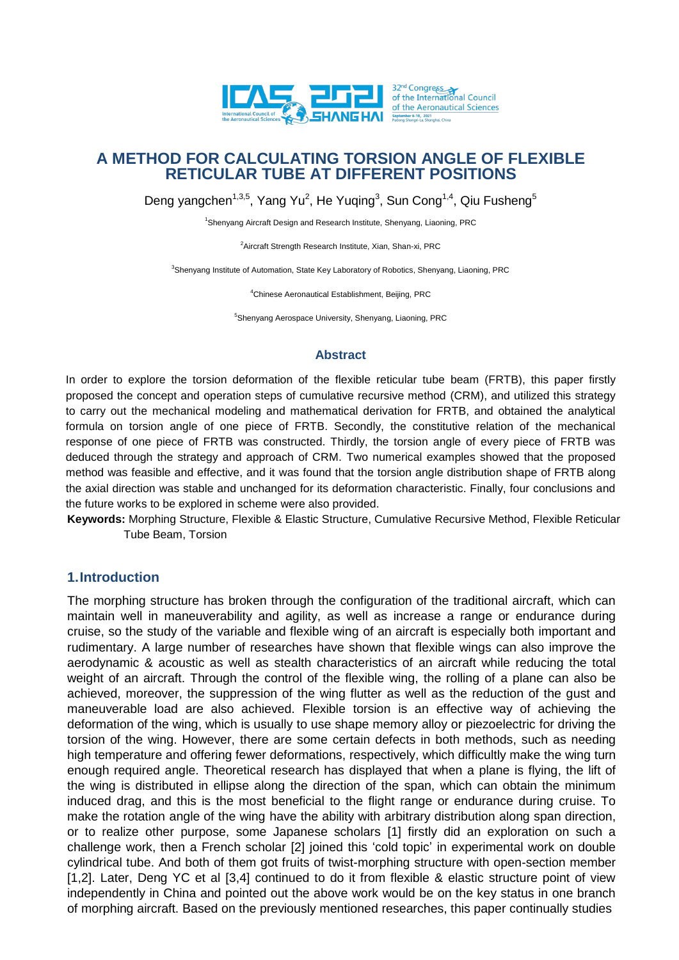

Deng yangchen<sup>1,3,5</sup>, Yang Yu<sup>2</sup>, He Yuqing<sup>3</sup>, Sun Cong<sup>1,4</sup>, Qiu Fusheng<sup>5</sup>

<sup>1</sup>Shenyang Aircraft Design and Research Institute, Shenyang, Liaoning, PRC

<sup>2</sup> Aircraft Strength Research Institute, Xian, Shan-xi, PRC

<sup>3</sup>Shenyang Institute of Automation, State Key Laboratory of Robotics, Shenyang, Liaoning, PRC

<sup>4</sup>Chinese Aeronautical Establishment, Beijing, PRC

<sup>5</sup>Shenyang Aerospace University, Shenyang, Liaoning, PRC

#### **Abstract**

In order to explore the torsion deformation of the flexible reticular tube beam (FRTB), this paper firstly proposed the concept and operation steps of cumulative recursive method (CRM), and utilized this strategy to carry out the mechanical modeling and mathematical derivation for FRTB, and obtained the analytical formula on torsion angle of one piece of FRTB. Secondly, the constitutive relation of the mechanical response of one piece of FRTB was constructed. Thirdly, the torsion angle of every piece of FRTB was deduced through the strategy and approach of CRM. Two numerical examples showed that the proposed method was feasible and effective, and it was found that the torsion angle distribution shape of FRTB along the axial direction was stable and unchanged for its deformation characteristic. Finally, four conclusions and the future works to be explored in scheme were also provided.

**Keywords:** Morphing Structure, Flexible & Elastic Structure, Cumulative Recursive Method, Flexible Reticular Tube Beam, Torsion

# **1.Introduction**

The morphing structure has broken through the configuration of the traditional aircraft, which can maintain well in maneuverability and agility, as well as increase a range or endurance during cruise, so the study of the variable and flexible wing of an aircraft is especially both important and rudimentary. A large number of researches have shown that flexible wings can also improve the aerodynamic & acoustic as well as stealth characteristics of an aircraft while reducing the total weight of an aircraft. Through the control of the flexible wing, the rolling of a plane can also be achieved, moreover, the suppression of the wing flutter as well as the reduction of the gust and maneuverable load are also achieved. Flexible torsion is an effective way of achieving the deformation of the wing, which is usually to use shape memory alloy or piezoelectric for driving the torsion of the wing. However, there are some certain defects in both methods, such as needing high temperature and offering fewer deformations, respectively, which difficultly make the wing turn enough required angle. Theoretical research has displayed that when a plane is flying, the lift of the wing is distributed in ellipse along the direction of the span, which can obtain the minimum induced drag, and this is the most beneficial to the flight range or endurance during cruise. To make the rotation angle of the wing have the ability with arbitrary distribution along span direction, or to realize other purpose, some Japanese scholars [1] firstly did an exploration on such a challenge work, then a French scholar [2] joined this 'cold topic' in experimental work on double cylindrical tube. And both of them got fruits of twist-morphing structure with open-section member [1,2]. Later, Deng YC et al [3,4] continued to do it from flexible & elastic structure point of view independently in China and pointed out the above work would be on the key status in one branch of morphing aircraft. Based on the previously mentioned researches, this paper continually studies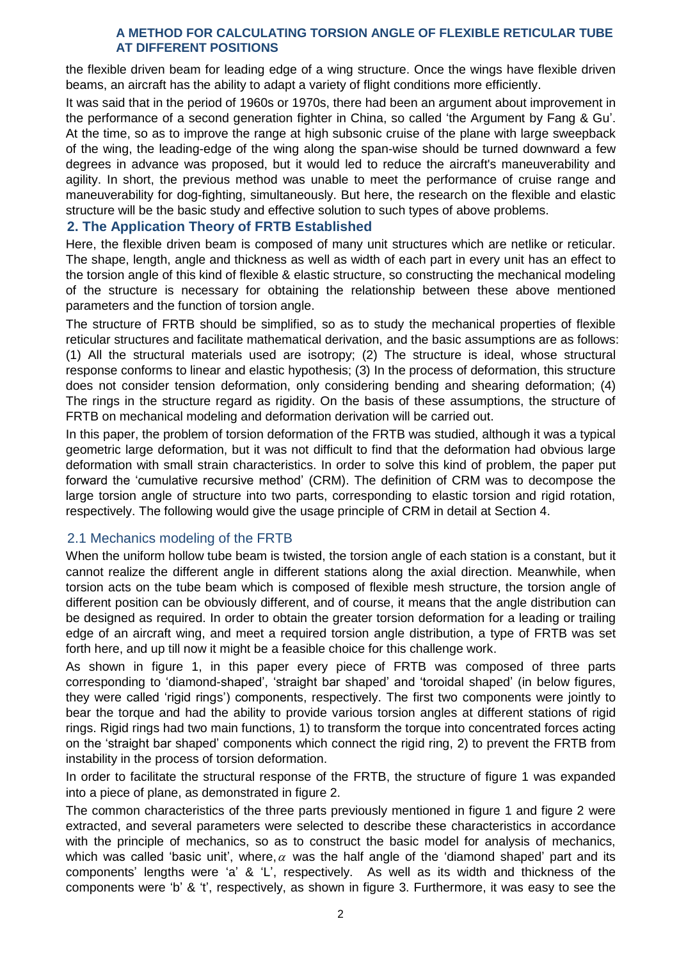the flexible driven beam for leading edge of a wing structure. Once the wings have flexible driven beams, an aircraft has the ability to adapt a variety of flight conditions more efficiently.

It was said that in the period of 1960s or 1970s, there had been an argument about improvement in the performance of a second generation fighter in China, so called 'the Argument by Fang & Gu'. At the time, so as to improve the range at high subsonic cruise of the plane with large sweepback of the wing, the leading-edge of the wing along the span-wise should be turned downward a few degrees in advance was proposed, but it would led to reduce the aircraft's maneuverability and agility. In short, the previous method was unable to meet the performance of cruise range and maneuverability for dog-fighting, simultaneously. But here, the research on the flexible and elastic structure will be the basic study and effective solution to such types of above problems.

## **2. The Application Theory of FRTB Established**

Here, the flexible driven beam is composed of many unit structures which are netlike or reticular. The shape, length, angle and thickness as well as width of each part in every unit has an effect to the torsion angle of this kind of flexible & elastic structure, so constructing the mechanical modeling of the structure is necessary for obtaining the relationship between these above mentioned parameters and the function of torsion angle.

The structure of FRTB should be simplified, so as to study the mechanical properties of flexible reticular structures and facilitate mathematical derivation, and the basic assumptions are as follows: (1) All the structural materials used are isotropy; (2) The structure is ideal, whose structural response conforms to linear and elastic hypothesis; (3) In the process of deformation, this structure does not consider tension deformation, only considering bending and shearing deformation; (4) The rings in the structure regard as rigidity. On the basis of these assumptions, the structure of FRTB on mechanical modeling and deformation derivation will be carried out.

In this paper, the problem of torsion deformation of the FRTB was studied, although it was a typical geometric large deformation, but it was not difficult to find that the deformation had obvious large deformation with small strain characteristics. In order to solve this kind of problem, the paper put forward the 'cumulative recursive method' (CRM). The definition of CRM was to decompose the large torsion angle of structure into two parts, corresponding to elastic torsion and rigid rotation, respectively. The following would give the usage principle of CRM in detail at Section 4.

# 2.1 Mechanics modeling of the FRTB

When the uniform hollow tube beam is twisted, the torsion angle of each station is a constant, but it cannot realize the different angle in different stations along the axial direction. Meanwhile, when torsion acts on the tube beam which is composed of flexible mesh structure, the torsion angle of different position can be obviously different, and of course, it means that the angle distribution can be designed as required. In order to obtain the greater torsion deformation for a leading or trailing edge of an aircraft wing, and meet a required torsion angle distribution, a type of FRTB was set forth here, and up till now it might be a feasible choice for this challenge work.

As shown in figure 1, in this paper every piece of FRTB was composed of three parts corresponding to 'diamond-shaped', 'straight bar shaped' and 'toroidal shaped' (in below figures, they were called 'rigid rings') components, respectively. The first two components were jointly to bear the torque and had the ability to provide various torsion angles at different stations of rigid rings. Rigid rings had two main functions, 1) to transform the torque into concentrated forces acting on the 'straight bar shaped' components which connect the rigid ring, 2) to prevent the FRTB from instability in the process of torsion deformation.

In order to facilitate the structural response of the FRTB, the structure of figure 1 was expanded into a piece of plane, as demonstrated in figure 2.

The common characteristics of the three parts previously mentioned in figure 1 and figure 2 were extracted, and several parameters were selected to describe these characteristics in accordance with the principle of mechanics, so as to construct the basic model for analysis of mechanics, which was called 'basic unit', where,  $\alpha$  was the half angle of the 'diamond shaped' part and its components' lengths were 'a' & 'L', respectively. As well as its width and thickness of the components were 'b' & 't', respectively, as shown in figure 3. Furthermore, it was easy to see the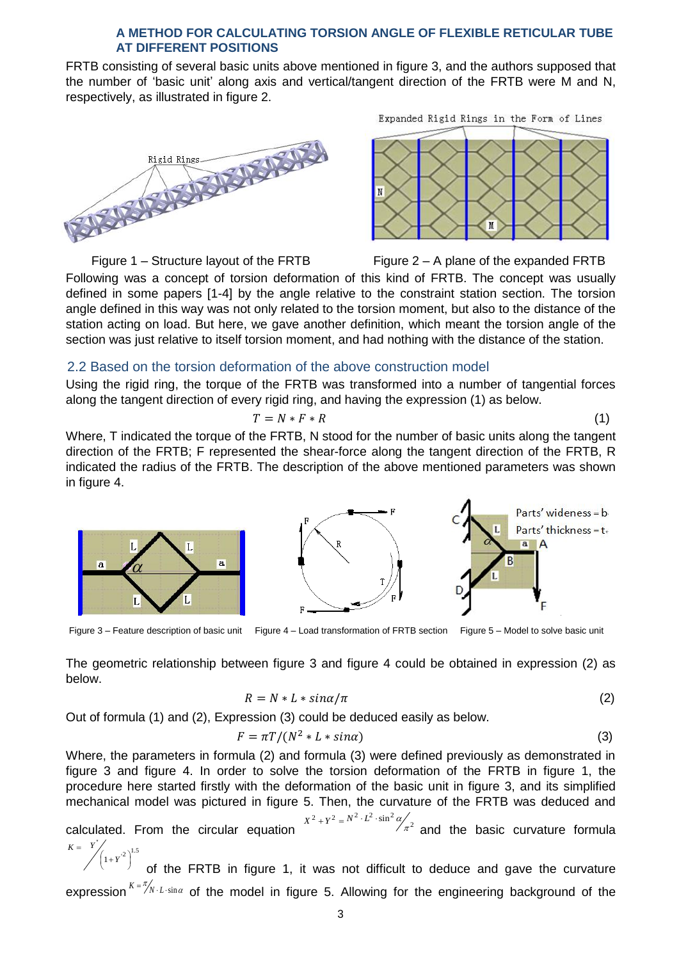FRTB consisting of several basic units above mentioned in figure 3, and the authors supposed that the number of 'basic unit' along axis and vertical/tangent direction of the FRTB were M and N, respectively, as illustrated in figure 2.



Expanded Rigid Rings in the Form of Lines



Figure 1 – Structure layout of the FRTB Figure 2 – A plane of the expanded FRTB Following was a concept of torsion deformation of this kind of FRTB. The concept was usually defined in some papers [1-4] by the angle relative to the constraint station section. The torsion angle defined in this way was not only related to the torsion moment, but also to the distance of the station acting on load. But here, we gave another definition, which meant the torsion angle of the section was just relative to itself torsion moment, and had nothing with the distance of the station.

### 2.2 Based on the torsion deformation of the above construction model

Using the rigid ring, the torque of the FRTB was transformed into a number of tangential forces along the tangent direction of every rigid ring, and having the expression (1) as below.

$$
T = N \ast F \ast R \tag{1}
$$

Where, T indicated the torque of the FRTB, N stood for the number of basic units along the tangent direction of the FRTB; F represented the shear-force along the tangent direction of the FRTB, R indicated the radius of the FRTB. The description of the above mentioned parameters was shown in figure 4.



Figure 3 – Feature description of basic unit Figure 4 – Load transformation of FRTB section Figure 5 – Model to solve basic unit

The geometric relationship between figure 3 and figure 4 could be obtained in expression (2) as below.

$$
R = N * L * sin\alpha/\pi
$$
 (2)

Out of formula (1) and (2), Expression (3) could be deduced easily as below.

$$
F = \pi T / (N^2 * L * sin\alpha)
$$
 (3)

Where, the parameters in formula (2) and formula (3) were defined previously as demonstrated in figure 3 and figure 4. In order to solve the torsion deformation of the FRTB in figure 1, the procedure here started firstly with the deformation of the basic unit in figure 3, and its simplified mechanical model was pictured in figure 5. Then, the curvature of the FRTB was deduced and **Example 1.** The model in figure 4-Load transformation of FRTB section Figure 5-Model to solve basic unit<br>tric relationship between figure 3 and figure 4 could be obtained in expression (2) as<br> $R = N * L * sin\alpha/\pi$  (2)<br>parameters

calculated. From the circular equation  $X^{2} + Y^{2} = N^{2} \cdot L^{2} \cdot \sin^{2} \alpha / \pi^{2}$ and the basic curvature formula  $=$  $K = Y$ 

 $\left(1+Y^{2}\right)^{1.5}$  $\left(1+Y^{2}\right)$  $\left(1+Y\right)$ of the FRTB in figure 1, it was not difficult to deduce and gave the curvature expression  $\binom{K=\pi}{N}$  *L* · sin *a*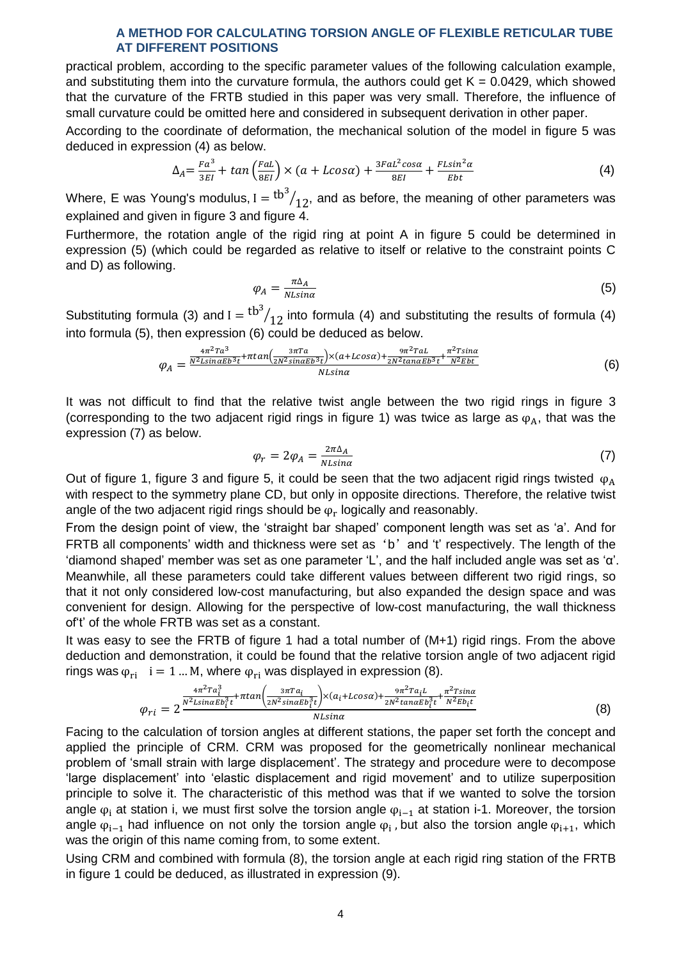practical problem, according to the specific parameter values of the following calculation example, and substituting them into the curvature formula, the authors could get  $K = 0.0429$ , which showed that the curvature of the FRTB studied in this paper was very small. Therefore, the influence of small curvature could be omitted here and considered in subsequent derivation in other paper.

According to the coordinate of deformation, the mechanical solution of the model in figure 5 was deduced in expression (4) as below.

$$
\Delta_A = \frac{Fa^3}{3EI} + \tan\left(\frac{FaL}{8EI}\right) \times \left(a + L\cos\alpha\right) + \frac{3F aL^2 \cos\alpha}{8EI} + \frac{FL\sin^2\alpha}{Ebt} \tag{4}
$$

Where, E was Young's modulus, I  $=$   $\mathrm{^{tb^3}/_{12}}$ , and as before, the meaning of other parameters was explained and given in figure 3 and figure 4.

Furthermore, the rotation angle of the rigid ring at point A in figure 5 could be determined in expression (5) (which could be regarded as relative to itself or relative to the constraint points C and D) as following.

$$
\varphi_A = \frac{\pi \Delta_A}{N L \sin \alpha} \tag{5}
$$

Substituting formula (3) and  $I = {tb^3}/{12}$  into formula (4) and substituting the results of formula (4) into formula (5), then expression (6) could be deduced as below.

$$
\varphi_A = \frac{\frac{4\pi^2 T a^3}{N^2 L \sin \alpha E b^3 t} + \pi \tan \left(\frac{3\pi T a}{2N^2 \sin \alpha E b^3 t}\right) \times (a + L \cos \alpha) + \frac{9\pi^2 T a L}{2N^2 \tan \alpha E b^3 t} + \frac{\pi^2 T \sin \alpha}{N^2 E b t}}{N L \sin \alpha}
$$
(6)

It was not difficult to find that the relative twist angle between the two rigid rings in figure 3 (corresponding to the two adjacent rigid rings in figure 1) was twice as large as  $\varphi_A$ , that was the expression (7) as below.

$$
\varphi_r = 2\varphi_A = \frac{2\pi\Delta_A}{N L sin \alpha} \tag{7}
$$

Out of figure 1, figure 3 and figure 5, it could be seen that the two adjacent rigid rings twisted  $\varphi_A$ with respect to the symmetry plane CD, but only in opposite directions. Therefore, the relative twist angle of the two adjacent rigid rings should be  $\varphi_{\rm r}$  logically and reasonably.

From the design point of view, the 'straight bar shaped' component length was set as 'a'. And for FRTB all components' width and thickness were set as 'b' and 't' respectively. The length of the 'diamond shaped' member was set as one parameter 'L', and the half included angle was set as 'α'. Meanwhile, all these parameters could take different values between different two rigid rings, so that it not only considered low-cost manufacturing, but also expanded the design space and was convenient for design. Allowing for the perspective of low-cost manufacturing, the wall thickness of't' of the whole FRTB was set as a constant.

It was easy to see the FRTB of figure 1 had a total number of (M+1) rigid rings. From the above deduction and demonstration, it could be found that the relative torsion angle of two adjacent rigid rings was  $\varphi_{ri}$  i = 1 ... M, where  $\varphi_{ri}$  was displayed in expression (8).

$$
\varphi_{ri} = 2^{\frac{4\pi^2 T a_i^3}{N^2 L \sin \alpha E b_i^3 t} + \pi \tan \left(\frac{3\pi T a_i}{2N^2 \sin \alpha E b_i^3 t}\right) \times (a_i + L \cos \alpha) + \frac{9\pi^2 T a_i L}{2N^2 \tan \alpha E b_i^3 t} + \frac{\pi^2 T \sin \alpha}{N^2 E b_i t}}_{N L \sin \alpha}
$$
(8)

Facing to the calculation of torsion angles at different stations, the paper set forth the concept and applied the principle of CRM. CRM was proposed for the geometrically nonlinear mechanical problem of 'small strain with large displacement'. The strategy and procedure were to decompose 'large displacement' into 'elastic displacement and rigid movement' and to utilize superposition principle to solve it. The characteristic of this method was that if we wanted to solve the torsion angle  $\varphi_i$  at station i, we must first solve the torsion angle  $\varphi_{i-1}$  at station i-1. Moreover, the torsion angle  $\varphi_{i-1}$  had influence on not only the torsion angle  $\varphi_i$ , but also the torsion angle  $\varphi_{i+1}$ , which was the origin of this name coming from, to some extent.

Using CRM and combined with formula (8), the torsion angle at each rigid ring station of the FRTB in figure 1 could be deduced, as illustrated in expression (9).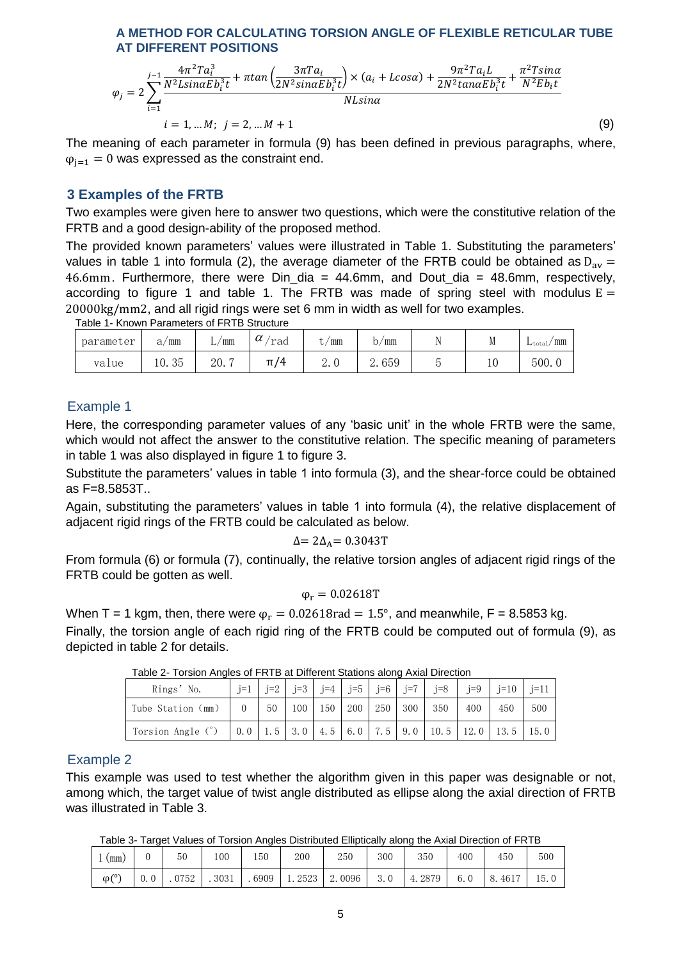$$
\varphi_{j} = 2 \sum_{i=1}^{j-1} \frac{4\pi^{2} \Gamma a_{i}^{3}}{N^{2} L sin \alpha E b_{i}^{3} t} + \pi tan \left( \frac{3\pi \Gamma a_{i}}{2N^{2} sin \alpha E b_{i}^{3} t} \right) \times (a_{i} + L cos \alpha) + \frac{9\pi^{2} \Gamma a_{i} L}{2N^{2} tan \alpha E b_{i}^{3} t} + \frac{\pi^{2} T sin \alpha}{N^{2} E b_{i} t}
$$
\n
$$
i = 1, \dots M; \quad j = 2, \dots M + 1
$$
\n(9)

The meaning of each parameter in formula (9) has been defined in previous paragraphs, where,  $\varphi_{i=1} = 0$  was expressed as the constraint end.

### **3 Examples of the FRTB**

Two examples were given here to answer two questions, which were the constitutive relation of the FRTB and a good design-ability of the proposed method.

The provided known parameters' values were illustrated in Table 1. Substituting the parameters' values in table 1 into formula (2), the average diameter of the FRTB could be obtained as  $D_{av}$  = 46.6mm. Furthermore, there were  $D$ in\_dia = 44.6mm, and Dout\_dia = 48.6mm, respectively, according to figure 1 and table 1. The FRTB was made of spring steel with modulus  $E =$ 20000kg/mm2, and all rigid rings were set 6 mm in width as well for two examples. Table 1- Known Parameters of FRTB Structure

| parameter | mm<br>a,    | ' mm<br>,, | $\sim$<br>rad<br>u      | mm                 | mm<br>υ, | . . | W   | $\gamma$ mm<br>$L_{total}$ |
|-----------|-------------|------------|-------------------------|--------------------|----------|-----|-----|----------------------------|
| value     | うに<br>10.35 | 20.7<br>-  | 74<br>T<br>. . <i>.</i> | $\overline{a}$ . v | 2.659    | ັ   | ⊥ ∪ | 500.0                      |

## Example 1

Here, the corresponding parameter values of any 'basic unit' in the whole FRTB were the same, which would not affect the answer to the constitutive relation. The specific meaning of parameters in table 1 was also displayed in figure 1 to figure 3.

Substitute the parameters' values in table 1 into formula (3), and the shear-force could be obtained as F=8.5853T..

Again, substituting the parameters' values in table 1 into formula (4), the relative displacement of adjacent rigid rings of the FRTB could be calculated as below.

$$
\Delta = 2\Delta_A = 0.3043T
$$

From formula (6) or formula (7), continually, the relative torsion angles of adjacent rigid rings of the FRTB could be gotten as well.

$$
\phi_r=0.02618T
$$

When T = 1 kgm, then, there were  $\varphi_r = 0.02618 \text{rad} = 1.5^{\circ}$ , and meanwhile, F = 8.5853 kg.

Finally, the torsion angle of each rigid ring of the FRTB could be computed out of formula (9), as depicted in table 2 for details.

| Rings' No.        | $i=1$ | $i=2$ |                     |         |         | $j=3$   $j=4$   $j=5$   $j=6$   $j=7$   $j=8$ |                                                                       |     | $j=9$   $j=10$   $j=11$ |
|-------------------|-------|-------|---------------------|---------|---------|-----------------------------------------------|-----------------------------------------------------------------------|-----|-------------------------|
| Tube Station (mm) |       | - 50  | $100 \mid 150 \mid$ | 200 250 | 300 350 |                                               | 400                                                                   | 450 | 500                     |
| Torsion Angle (°) |       |       |                     |         |         |                                               | $0.0$   1.5   3.0   4.5   6.0   7.5   9.0   10.5   12.0   13.5   15.0 |     |                         |

Table 2- Torsion Angles of FRTB at Different Stations along Axial Direction

### Example 2

This example was used to test whether the algorithm given in this paper was designable or not, among which, the target value of twist angle distributed as ellipse along the axial direction of FRTB was illustrated in Table 3.

Table 3- Target Values of Torsion Angles Distributed Elliptically along the Axial Direction of FRTB

| mm.              | 50   | 100  | 150  | 200  | 250         | 300 | 350              | 400 | 450        | 500  |
|------------------|------|------|------|------|-------------|-----|------------------|-----|------------|------|
| $\varphi(\circ)$ | 0752 | 3031 | 6909 | 2523 | 2.0096<br>റ | 3.0 | 2879<br>$\Delta$ | 6.  | 4617<br>8. | 15.0 |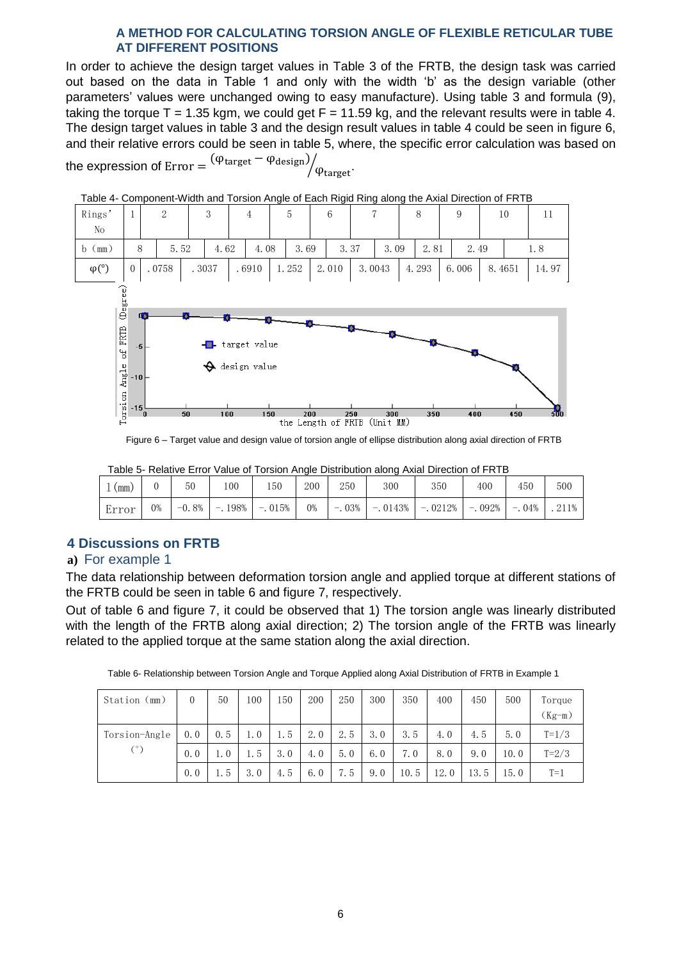In order to achieve the design target values in Table 3 of the FRTB, the design task was carried out based on the data in Table 1 and only with the width 'b' as the design variable (other parameters' values were unchanged owing to easy manufacture). Using table 3 and formula (9), taking the torque  $T = 1.35$  kgm, we could get  $F = 11.59$  kg, and the relevant results were in table 4. The design target values in table 3 and the design result values in table 4 could be seen in figure 6, and their relative errors could be seen in table 5, where, the specific error calculation was based on

the expression of  $\mathrm{Error} = \frac{1}{2}$  $\sqrt{\varphi_{\mathrm{target}}}.$ 



Table 4- Component-Width and Torsion Angle of Each Rigid Ring along the Axial Direction of FRTB

Figure 6 – Target value and design value of torsion angle of ellipse distribution along axial direction of FRTB

|       |    | Table of Twiatry Life value of Tolorer Angle Distribution along Axial Direction of Five D |     |                   |     |     |                                                                |     |     |     |       |  |  |  |
|-------|----|-------------------------------------------------------------------------------------------|-----|-------------------|-----|-----|----------------------------------------------------------------|-----|-----|-----|-------|--|--|--|
| (mm)  |    | 50                                                                                        | 100 | .50               | 200 | 250 | 300                                                            | 350 | 400 | 450 | 500   |  |  |  |
| Error | 0% | $-0.8\%$                                                                                  |     | $-198\%$ $-015\%$ | 0%  |     | $-0.03\%$   $-0.0143\%$   $-0.0212\%$   $-0.092\%$   $-0.04\%$ |     |     |     | .211% |  |  |  |

Table 5- Relative Error Value of Torsion Angle Distribution along Axial Direction of FRTB

# **4 Discussions on FRTB**

# **a)** For example 1

The data relationship between deformation torsion angle and applied torque at different stations of the FRTB could be seen in table 6 and figure 7, respectively.

Out of table 6 and figure 7, it could be observed that 1) The torsion angle was linearly distributed with the length of the FRTB along axial direction; 2) The torsion angle of the FRTB was linearly related to the applied torque at the same station along the axial direction.

| Station (mm)  | $\theta$ | 50  | 100       | 50  | 200 | 250 | 300 | 350 | 400 | 450            | 500  | Torque    |
|---------------|----------|-----|-----------|-----|-----|-----|-----|-----|-----|----------------|------|-----------|
|               |          |     |           |     |     |     |     |     |     |                |      | $(Kg-m)$  |
| Torsion-Angle | 0.0      | 0.5 | $\cdot$ 0 | 1.5 | 2.0 | 2.5 | 3.0 | 3.5 | 4.0 | 4.5            | 5.0  | $T = 1/3$ |
| (°)           | 0.0      | 1.0 | 1.5       | 3.0 | 4.0 | 5.0 | 6.0 | 7.0 | 8.0 | 9.<br>$\theta$ | 10.0 | $T = 2/3$ |

0.0 | 1.5 | 3.0 | 4.5 | 6.0 | 7.5 | 9.0 | 10.5 | 12.0 | 13.5 | 15.0 | T=1

Table 6- Relationship between Torsion Angle and Torque Applied along Axial Distribution of FRTB in Example 1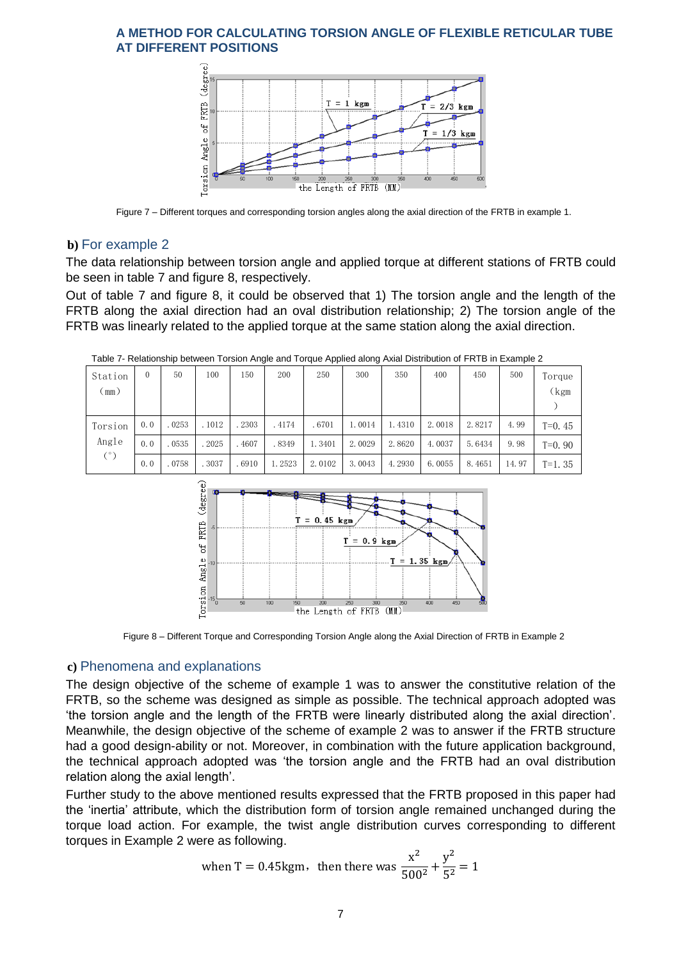

Figure 7 – Different torques and corresponding torsion angles along the axial direction of the FRTB in example 1.

## **b)** For example 2

The data relationship between torsion angle and applied torque at different stations of FRTB could be seen in table 7 and figure 8, respectively.

Out of table 7 and figure 8, it could be observed that 1) The torsion angle and the length of the FRTB along the axial direction had an oval distribution relationship; 2) The torsion angle of the FRTB was linearly related to the applied torque at the same station along the axial direction.

| Station<br>$\text{mm}$ ) |     | 50    | 100    | 150   | 200    | 250    | 300    | 350    | 400    | 450    | 500   | Torque<br>kgm) |
|--------------------------|-----|-------|--------|-------|--------|--------|--------|--------|--------|--------|-------|----------------|
| Torsion                  | 0.0 | .0253 | . 1012 | 2303  | .4174  | .6701  | 1.0014 | 1.4310 | 2.0018 | 2.8217 | 4.99  | $T=0.45$       |
| Angle                    | 0.0 | .0535 | . 2025 | .4607 | .8349  | 1.3401 | 2.0029 | 2.8620 | 4.0037 | 5.6434 | 9.98  | $T=0.90$       |
| $(^\circ)$               | 0.0 | .0758 | .3037  | .6910 | 1.2523 | 2.0102 | 3.0043 | 4.2930 | 6.0055 | 8.4651 | 14.97 | $T=1.35$       |

Table 7- Relationship between Torsion Angle and Torque Applied along Axial Distribution of FRTB in Example 2



Figure 8 – Different Torque and Corresponding Torsion Angle along the Axial Direction of FRTB in Example 2

### **c)** Phenomena and explanations

The design objective of the scheme of example 1 was to answer the constitutive relation of the FRTB, so the scheme was designed as simple as possible. The technical approach adopted was 'the torsion angle and the length of the FRTB were linearly distributed along the axial direction'. Meanwhile, the design objective of the scheme of example 2 was to answer if the FRTB structure had a good design-ability or not. Moreover, in combination with the future application background, the technical approach adopted was 'the torsion angle and the FRTB had an oval distribution relation along the axial length'.

Further study to the above mentioned results expressed that the FRTB proposed in this paper had the 'inertia' attribute, which the distribution form of torsion angle remained unchanged during the torque load action. For example, the twist angle distribution curves corresponding to different torques in Example 2 were as following.

when T = 0.45kgm, then there was 
$$
\frac{x^2}{500^2} + \frac{y^2}{5^2} = 1
$$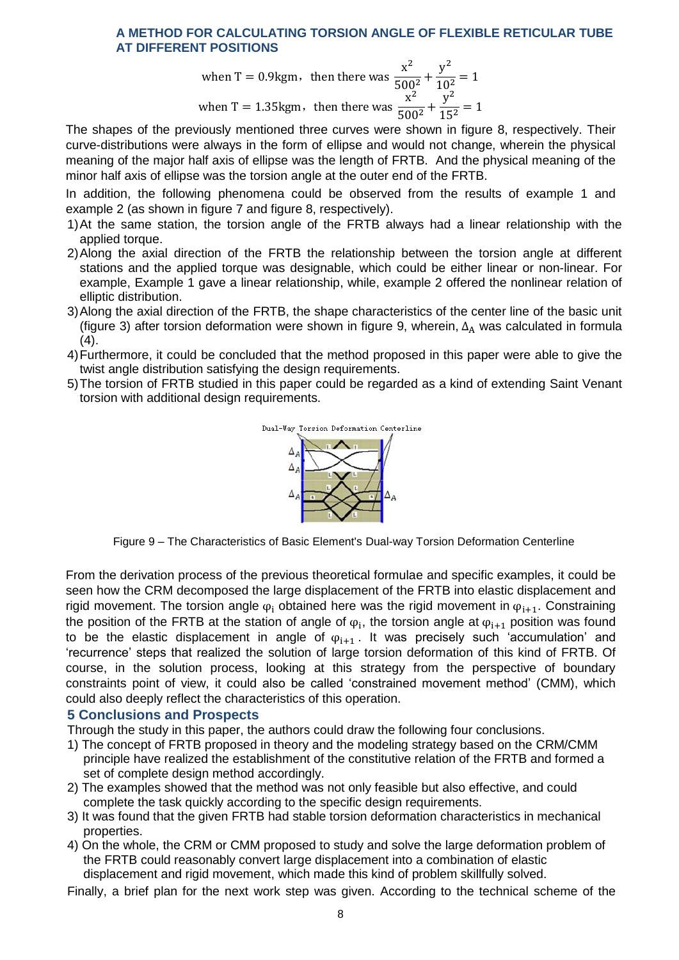when T = 0.9kgm, then there was 
$$
\frac{x^2}{500^2} + \frac{y^2}{10^2} = 1
$$
  
when T = 1.35kgm, then there was  $\frac{x^2}{500^2} + \frac{y^2}{15^2} = 1$ 

The shapes of the previously mentioned three curves were shown in figure 8, respectively. Their curve-distributions were always in the form of ellipse and would not change, wherein the physical meaning of the major half axis of ellipse was the length of FRTB. And the physical meaning of the minor half axis of ellipse was the torsion angle at the outer end of the FRTB.

In addition, the following phenomena could be observed from the results of example 1 and example 2 (as shown in figure 7 and figure 8, respectively).

- 1)At the same station, the torsion angle of the FRTB always had a linear relationship with the applied torque.
- 2)Along the axial direction of the FRTB the relationship between the torsion angle at different stations and the applied torque was designable, which could be either linear or non-linear. For example, Example 1 gave a linear relationship, while, example 2 offered the nonlinear relation of elliptic distribution.
- 3)Along the axial direction of the FRTB, the shape characteristics of the center line of the basic unit (figure 3) after torsion deformation were shown in figure 9, wherein,  $\Delta_A$  was calculated in formula  $(4).$
- 4)Furthermore, it could be concluded that the method proposed in this paper were able to give the twist angle distribution satisfying the design requirements.
- 5)The torsion of FRTB studied in this paper could be regarded as a kind of extending Saint Venant torsion with additional design requirements.



Figure 9 – The Characteristics of Basic Element's Dual-way Torsion Deformation Centerline

From the derivation process of the previous theoretical formulae and specific examples, it could be seen how the CRM decomposed the large displacement of the FRTB into elastic displacement and rigid movement. The torsion angle  $\varphi_i$  obtained here was the rigid movement in  $\varphi_{i+1}$ . Constraining the position of the FRTB at the station of angle of  $\varphi_i$ , the torsion angle at  $\varphi_{i+1}$  position was found to be the elastic displacement in angle of  $\varphi_{i+1}$ . It was precisely such 'accumulation' and 'recurrence' steps that realized the solution of large torsion deformation of this kind of FRTB. Of course, in the solution process, looking at this strategy from the perspective of boundary constraints point of view, it could also be called 'constrained movement method' (CMM), which could also deeply reflect the characteristics of this operation.

### **5 Conclusions and Prospects**

Through the study in this paper, the authors could draw the following four conclusions.

- 1) The concept of FRTB proposed in theory and the modeling strategy based on the CRM/CMM principle have realized the establishment of the constitutive relation of the FRTB and formed a set of complete design method accordingly.
- 2) The examples showed that the method was not only feasible but also effective, and could complete the task quickly according to the specific design requirements.
- 3) It was found that the given FRTB had stable torsion deformation characteristics in mechanical properties.
- 4) On the whole, the CRM or CMM proposed to study and solve the large deformation problem of the FRTB could reasonably convert large displacement into a combination of elastic displacement and rigid movement, which made this kind of problem skillfully solved.

Finally, a brief plan for the next work step was given. According to the technical scheme of the